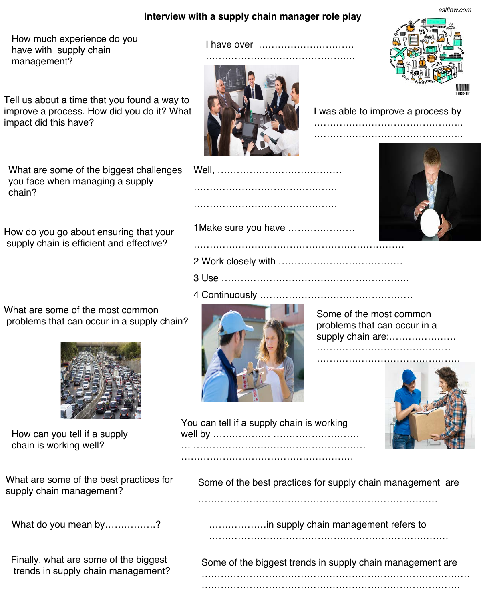## **Interview with a supply chain manager role play**

I have over …………………………

How much experience do you have with supply chain management?

Tell us about a time that you found a way to improve a process. How did you do it? What impact did this have?

What are some of the biggest challenges you face when managing a supply chain?

How do you go about ensuring that your supply chain is efficient and effective?

What are some of the most common problems that can occur in a supply chain?



How can you tell if a supply chain is working well?

What are some of the best practices for

Finally, what are some of the biggest



Some of the most common problems that can occur in a supply chain are:........................



| I was able to improve a process by |  |
|------------------------------------|--|
|                                    |  |









1Make sure you have …………………

2 Work closely with …………………………………

3 Use …………………………………………………..

4 Continuously …………………………………………

…………………………………… ……………………………

You can tell if a supply chain is working well by ……………… ……………………… … ………………………………………………

………………………………………………

what are some of the best practices for Some of the best practices for supply chain management are<br>supply chain management?

…………………………………………………………………

What do you mean by……………? 2000 CHA management refers to mean open and the way of the wave management refers to …………………………………………………………………

-inally, what are some of the biggest some of the biggest trends in supply chain management are<br>trends in supply chain management? …………………………………………………………………………

………………………………………………………………………

*eslflow.com*